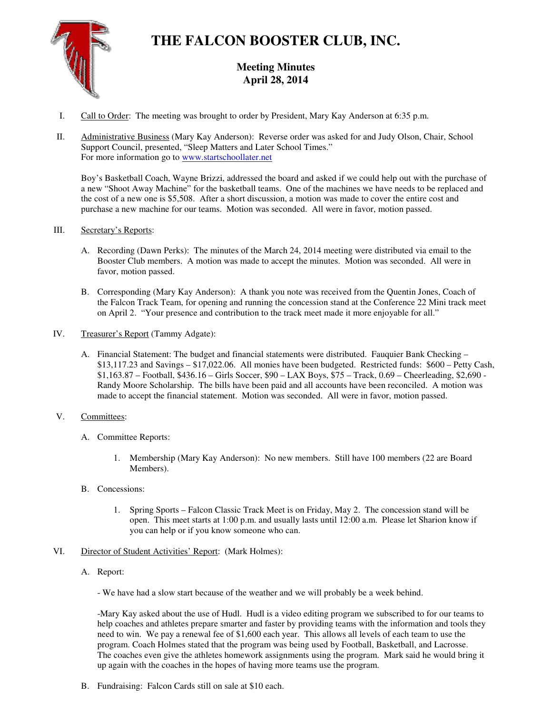

# **THE FALCON BOOSTER CLUB, INC.**

# **Meeting Minutes April 28, 2014**

- I. Call to Order: The meeting was brought to order by President, Mary Kay Anderson at 6:35 p.m.
- II. Administrative Business (Mary Kay Anderson): Reverse order was asked for and Judy Olson, Chair, School Support Council, presented, "Sleep Matters and Later School Times." For more information go to www.startschoollater.net

Boy's Basketball Coach, Wayne Brizzi, addressed the board and asked if we could help out with the purchase of a new "Shoot Away Machine" for the basketball teams. One of the machines we have needs to be replaced and the cost of a new one is \$5,508. After a short discussion, a motion was made to cover the entire cost and purchase a new machine for our teams. Motion was seconded. All were in favor, motion passed.

- III. Secretary's Reports:
	- A. Recording (Dawn Perks): The minutes of the March 24, 2014 meeting were distributed via email to the Booster Club members. A motion was made to accept the minutes. Motion was seconded. All were in favor, motion passed.
	- B. Corresponding (Mary Kay Anderson): A thank you note was received from the Quentin Jones, Coach of the Falcon Track Team, for opening and running the concession stand at the Conference 22 Mini track meet on April 2. "Your presence and contribution to the track meet made it more enjoyable for all."
- IV. Treasurer's Report (Tammy Adgate):
	- A. Financial Statement: The budget and financial statements were distributed. Fauquier Bank Checking \$13,117.23 and Savings – \$17,022.06. All monies have been budgeted. Restricted funds: \$600 – Petty Cash, \$1,163.87 – Football, \$436.16 – Girls Soccer, \$90 – LAX Boys, \$75 – Track, 0.69 – Cheerleading, \$2,690 - Randy Moore Scholarship. The bills have been paid and all accounts have been reconciled. A motion was made to accept the financial statement. Motion was seconded. All were in favor, motion passed.

## V. Committees:

- A. Committee Reports:
	- 1. Membership (Mary Kay Anderson): No new members. Still have 100 members (22 are Board Members).
- B. Concessions:
	- 1. Spring Sports Falcon Classic Track Meet is on Friday, May 2. The concession stand will be open. This meet starts at 1:00 p.m. and usually lasts until 12:00 a.m. Please let Sharion know if you can help or if you know someone who can.
- VI. Director of Student Activities' Report: (Mark Holmes):
	- A. Report:
		- We have had a slow start because of the weather and we will probably be a week behind.

-Mary Kay asked about the use of Hudl. Hudl is a video editing program we subscribed to for our teams to help coaches and athletes prepare smarter and faster by providing teams with the information and tools they need to win. We pay a renewal fee of \$1,600 each year. This allows all levels of each team to use the program. Coach Holmes stated that the program was being used by Football, Basketball, and Lacrosse. The coaches even give the athletes homework assignments using the program. Mark said he would bring it up again with the coaches in the hopes of having more teams use the program.

B. Fundraising: Falcon Cards still on sale at \$10 each.